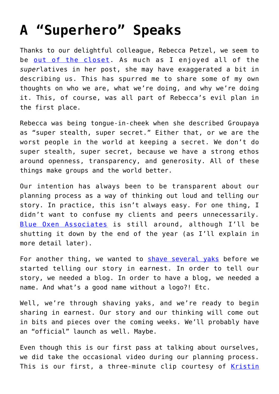## **[A "Superhero" Speaks](https://groupaya.net/a-superhero-speaks/)**

Thanks to our delightful colleague, Rebecca Petzel, we seem to be [out of the closet.](http://groupaya.net/blog/2011/09/introducing-groupaya/) As much as I enjoyed all of the *super*latives in her post, she may have exaggerated a bit in describing us. This has spurred me to share some of my own thoughts on who we are, what we're doing, and why we're doing it. This, of course, was all part of Rebecca's evil plan in the first place.

Rebecca was being tongue-in-cheek when she described Groupaya as "super stealth, super secret." Either that, or we are the worst people in the world at keeping a secret. We don't do super stealth, super secret, because we have a strong ethos around openness, transparency, and generosity. All of these things make groups and the world better.

Our intention has always been to be transparent about our planning process as a way of thinking out loud and telling our story. In practice, this isn't always easy. For one thing, I didn't want to confuse my clients and peers unnecessarily. [Blue Oxen Associates](http://blueoxen.com/) is still around, although I'll be shutting it down by the end of the year (as I'll explain in more detail later).

For another thing, we wanted to [shave several yaks](http://sethgodin.typepad.com/seths_blog/2005/03/dont_shave_that.html) before we started telling our story in earnest. In order to tell our story, we needed a blog. In order to have a blog, we needed a name. And what's a good name without a logo?! Etc.

Well, we're through shaving yaks, and we're ready to begin sharing in earnest. Our story and our thinking will come out in bits and pieces over the coming weeks. We'll probably have an "official" launch as well. Maybe.

Even though this is our first pass at talking about ourselves, we did take the occasional video during our planning process. This is our first, a three-minute clip courtesy of [Kristin](http://leaderforlife.wordpress.com/)